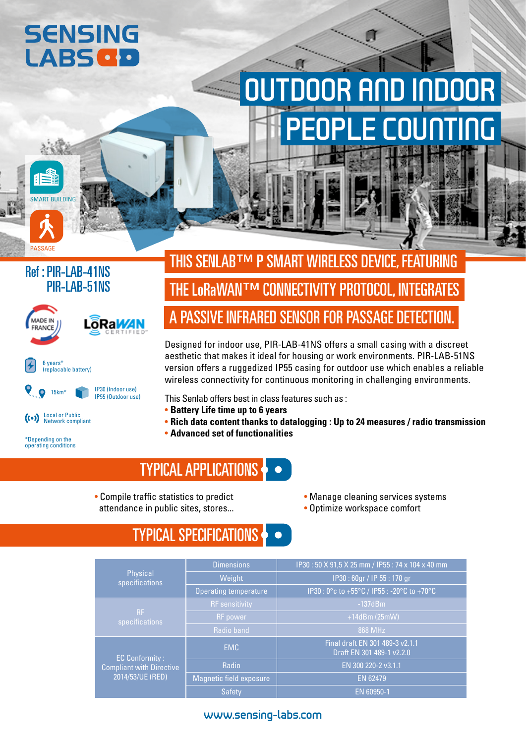# **SENSING LABS GD**

# DOOR AND INDOOR PEOPLE COUNTING

#### Ref : PIR-LAB-41NS PIR-LAB-51NS

SMART BUILDING

PASSAGE



\*Depending on the operating conditions

THE LoRaWAN™ CONNECTIVITY PROTOCOL, INTEGRATES A PASSIVE INFRARED SENSOR FOR PASSAGE DETECTION. THIS SENLAB™ P SMART WIRELESS DEVICE, FEATURING

Designed for indoor use, PIR-LAB-41NS offers a small casing with a discreet aesthetic that makes it ideal for housing or work environments. PIR-LAB-51NS version offers a ruggedized IP55 casing for outdoor use which enables a reliable wireless connectivity for continuous monitoring in challenging environments.

This Senlab offers best in class features such as :

- **Battery Life time up to 6 years**
- **Rich data content thanks to datalogging : Up to 24 measures / radio transmission**
- **Advanced set of functionalities**

### TYPICAL APPLICATIONS

- Compile traffic statistics to predict attendance in public sites, stores...
- Manage cleaning services systems
- Optimize workspace comfort

## TYPICAL SPECIFICATIONS

|                                                     | <b>Dimensions</b>       | IP30: 50 X 91,5 X 25 mm / IP55: 74 x 104 x 40 mm             |  |  |  |  |
|-----------------------------------------------------|-------------------------|--------------------------------------------------------------|--|--|--|--|
| Physical<br>specifications                          | Weight                  | IP30:60gr / IP 55:170 gr                                     |  |  |  |  |
|                                                     | Operating temperature   | IP30: 0°c to +55°C / IP55: -20°C to +70°C                    |  |  |  |  |
| <b>RF</b><br>specifications                         | <b>RF</b> sensitivity   | $-137dBm$                                                    |  |  |  |  |
|                                                     | <b>RF</b> power         | $+14dBm(25mW)$                                               |  |  |  |  |
|                                                     | Radio band              | 868 MHz                                                      |  |  |  |  |
| <b>EC Conformity:</b>                               | <b>EMC</b>              | Final draft EN 301 489-3 v2.1.1<br>Draft EN 301 489-1 v2.2.0 |  |  |  |  |
| <b>Compliant with Directive</b><br>2014/53/UE (RED) | Radio                   | EN 300 220-2 v3.1.1                                          |  |  |  |  |
|                                                     | Magnetic field exposure | EN 62479                                                     |  |  |  |  |
|                                                     | <b>Safety</b>           | EN 60950-1                                                   |  |  |  |  |

#### www.sensing-labs.com